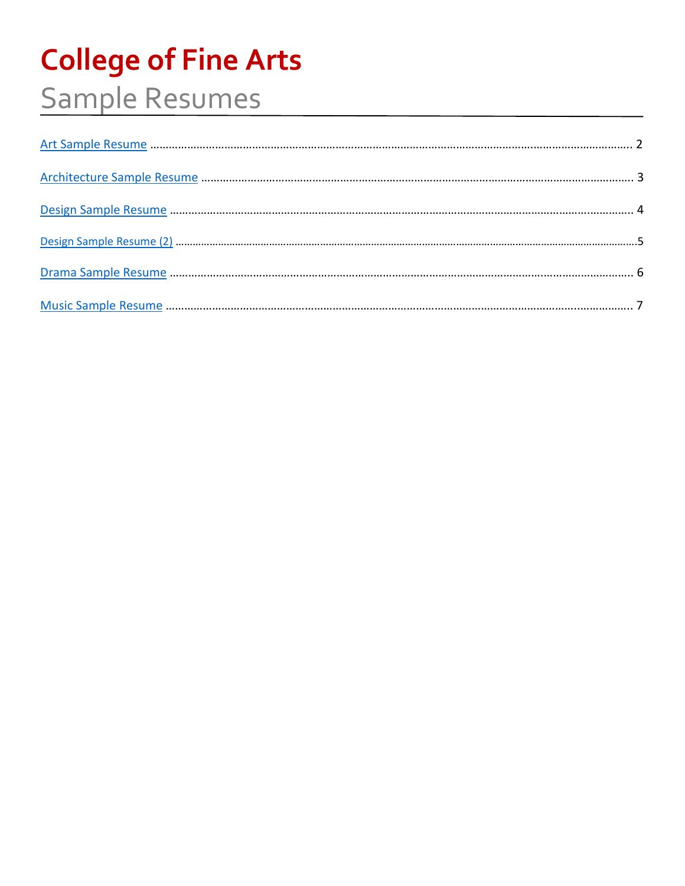# **College of Fine Arts** Sample Resumes

<span id="page-0-0"></span>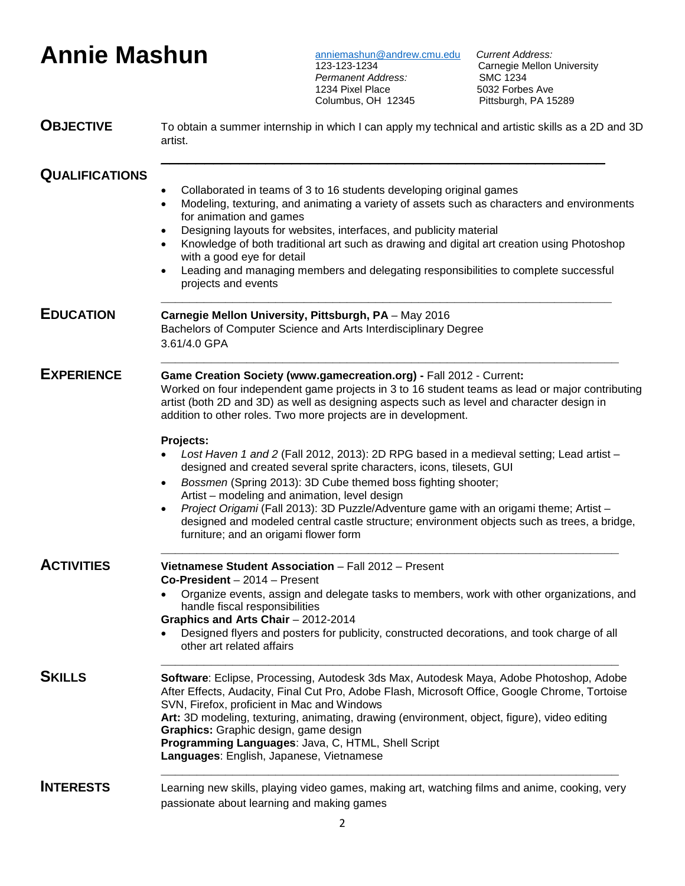# **Annie Mashun**

[anniemashun@andrew.cmu.edu](mailto:anniemashun@andrew.cmu.edu) *Current Address:* **Permanent Address:** 1234 Pixel Place<br>Columbus, OH 12345

Carnegie Mellon University<br>SMC 1234 Sole Francisco<br>Pittsburgh, PA 15289

| <b>OBJECTIVE</b>      | To obtain a summer internship in which I can apply my technical and artistic skills as a 2D and 3D<br>artist.                                                                                                                                                                                                                                                                                                                                                                                                                                                                                                                                                                                                                                                                                                                                                                         |  |  |  |
|-----------------------|---------------------------------------------------------------------------------------------------------------------------------------------------------------------------------------------------------------------------------------------------------------------------------------------------------------------------------------------------------------------------------------------------------------------------------------------------------------------------------------------------------------------------------------------------------------------------------------------------------------------------------------------------------------------------------------------------------------------------------------------------------------------------------------------------------------------------------------------------------------------------------------|--|--|--|
| <b>QUALIFICATIONS</b> | Collaborated in teams of 3 to 16 students developing original games<br>Modeling, texturing, and animating a variety of assets such as characters and environments<br>for animation and games<br>Designing layouts for websites, interfaces, and publicity material<br>Knowledge of both traditional art such as drawing and digital art creation using Photoshop<br>with a good eye for detail<br>Leading and managing members and delegating responsibilities to complete successful<br>projects and events                                                                                                                                                                                                                                                                                                                                                                          |  |  |  |
| <b>EDUCATION</b>      | Carnegie Mellon University, Pittsburgh, PA - May 2016<br>Bachelors of Computer Science and Arts Interdisciplinary Degree<br>3.61/4.0 GPA                                                                                                                                                                                                                                                                                                                                                                                                                                                                                                                                                                                                                                                                                                                                              |  |  |  |
| <b>EXPERIENCE</b>     | Game Creation Society (www.gamecreation.org) - Fall 2012 - Current:<br>Worked on four independent game projects in 3 to 16 student teams as lead or major contributing<br>artist (both 2D and 3D) as well as designing aspects such as level and character design in<br>addition to other roles. Two more projects are in development.<br>Projects:<br>Lost Haven 1 and 2 (Fall 2012, 2013): 2D RPG based in a medieval setting; Lead artist -<br>designed and created several sprite characters, icons, tilesets, GUI<br>Bossmen (Spring 2013): 3D Cube themed boss fighting shooter;<br>$\bullet$<br>Artist - modeling and animation, level design<br>Project Origami (Fall 2013): 3D Puzzle/Adventure game with an origami theme; Artist -<br>designed and modeled central castle structure; environment objects such as trees, a bridge,<br>furniture; and an origami flower form |  |  |  |
| <b>ACTIVITIES</b>     | Vietnamese Student Association - Fall 2012 - Present<br>Co-President - 2014 - Present<br>Organize events, assign and delegate tasks to members, work with other organizations, and<br>handle fiscal responsibilities<br>Graphics and Arts Chair - 2012-2014<br>Designed flyers and posters for publicity, constructed decorations, and took charge of all<br>other art related affairs                                                                                                                                                                                                                                                                                                                                                                                                                                                                                                |  |  |  |
| <b>SKILLS</b>         | Software: Eclipse, Processing, Autodesk 3ds Max, Autodesk Maya, Adobe Photoshop, Adobe<br>After Effects, Audacity, Final Cut Pro, Adobe Flash, Microsoft Office, Google Chrome, Tortoise<br>SVN, Firefox, proficient in Mac and Windows<br>Art: 3D modeling, texturing, animating, drawing (environment, object, figure), video editing<br>Graphics: Graphic design, game design<br>Programming Languages: Java, C, HTML, Shell Script<br>Languages: English, Japanese, Vietnamese                                                                                                                                                                                                                                                                                                                                                                                                    |  |  |  |
| <b>INTERESTS</b>      | Learning new skills, playing video games, making art, watching films and anime, cooking, very<br>passionate about learning and making games                                                                                                                                                                                                                                                                                                                                                                                                                                                                                                                                                                                                                                                                                                                                           |  |  |  |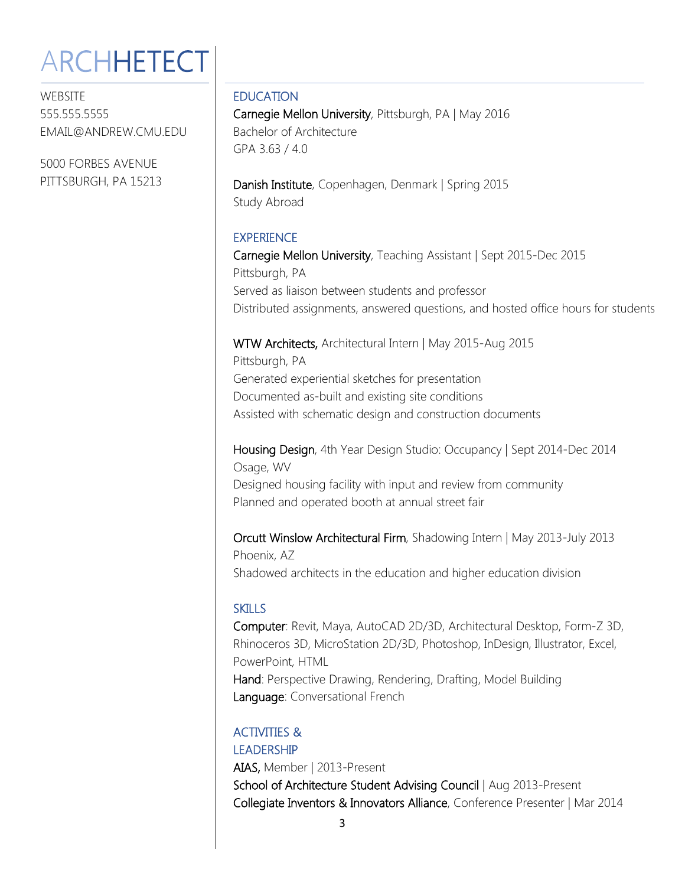# <span id="page-2-0"></span>**ARCHHETECT**

WEBSITE 555.555.5555 EMAIL@ANDREW.CMU.EDU

5000 FORBES AVENUE PITTSBURGH, PA 15213

### EDUCATION

Carnegie Mellon University, Pittsburgh, PA | May 2016 Bachelor of Architecture GPA 3.63 / 4.0

Danish Institute, Copenhagen, Denmark | Spring 2015 Study Abroad

### **EXPERIENCE**

Carnegie Mellon University, Teaching Assistant | Sept 2015-Dec 2015 Pittsburgh, PA Served as liaison between students and professor Distributed assignments, answered questions, and hosted office hours for students

### WTW Architects, Architectural Intern | May 2015-Aug 2015

Pittsburgh, PA Generated experiential sketches for presentation Documented as-built and existing site conditions Assisted with schematic design and construction documents

Housing Design, 4th Year Design Studio: Occupancy | Sept 2014-Dec 2014 Osage, WV Designed housing facility with input and review from community

Planned and operated booth at annual street fair

Orcutt Winslow Architectural Firm, Shadowing Intern | May 2013-July 2013 Phoenix, AZ

Shadowed architects in the education and higher education division

### SKILLS

Computer: Revit, Maya, AutoCAD 2D/3D, Architectural Desktop, Form-Z 3D, Rhinoceros 3D, MicroStation 2D/3D, Photoshop, InDesign, Illustrator, Excel, PowerPoint, HTML Hand: Perspective Drawing, Rendering, Drafting, Model Building Language: Conversational French

### ACTIVITIES & LEADERSHIP

AIAS, Member | 2013-Present School of Architecture Student Advising Council | Aug 2013-Present Collegiate Inventors & Innovators Alliance, Conference Presenter | Mar 2014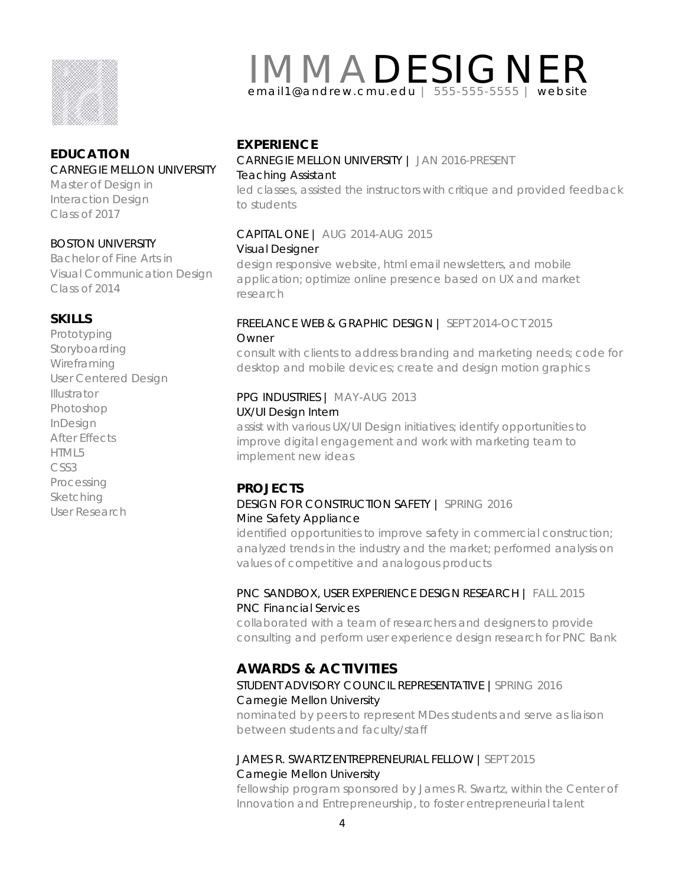

### **EDUCATION**

### CARNEGIE MELLON UNIVERSITY

Master of Design in Interaction Design Class of 2017

### BOSTON UNIVERSITY

Bachelor of Fine Arts in Visual Communication Design Class of 2014

### **SKILLS**

Prototyping Storyboarding **Wireframing** User Centered Design Illustrator Photoshop InDesign After Effects HTML5 CSS3 Processing Sketching User Research

# <span id="page-3-0"></span>IMMADESIGNER email1@andrew.cmu.edu | 555-555-5555 | website

### **EXPERIENCE**

### CARNEGIE MELLON UNIVERSITY | JAN 2016-PRESENT Teaching Assistant

led classes, assisted the instructors with critique and provided feedback to students

### CAPITAL ONE | AUG 2014-AUG 2015 Visual Designer

design responsive website, html email newsletters, and mobile application; optimize online presence based on UX and market research

### FREELANCE WEB & GRAPHIC DESIGN | SEPT 2014-OCT 2015 Owner

consult with clients to address branding and marketing needs; code for desktop and mobile devices; create and design motion graphics

### PPG INDUSTRIES | MAY-AUG 2013 UX/UI Design Intern

assist with various UX/UI Design initiatives; identify opportunities to improve digital engagement and work with marketing team to implement new ideas

### **PROJECTS**

### DESIGN FOR CONSTRUCTION SAFETY | SPRING 2016 Mine Safety Appliance

identified opportunities to improve safety in commercial construction; analyzed trends in the industry and the market; performed analysis on values of competitive and analogous products

### PNC SANDBOX, USER EXPERIENCE DESIGN RESEARCH | FALL 2015 PNC Financial Services

collaborated with a team of researchers and designers to provide consulting and perform user experience design research for PNC Bank

### **AWARDS & ACTIVITIES**

### STUDENT ADVISORY COUNCIL REPRESENTATIVE |SPRING 2016 Carnegie Mellon University

nominated by peers to represent MDes students and serve as liaison between students and faculty/staff

### JAMES R. SWARTZ ENTREPRENEURIAL FELLOW |SEPT 2015 Carnegie Mellon University

fellowship program sponsored by James R. Swartz, within the Center of Innovation and Entrepreneurship, to foster entrepreneurial talent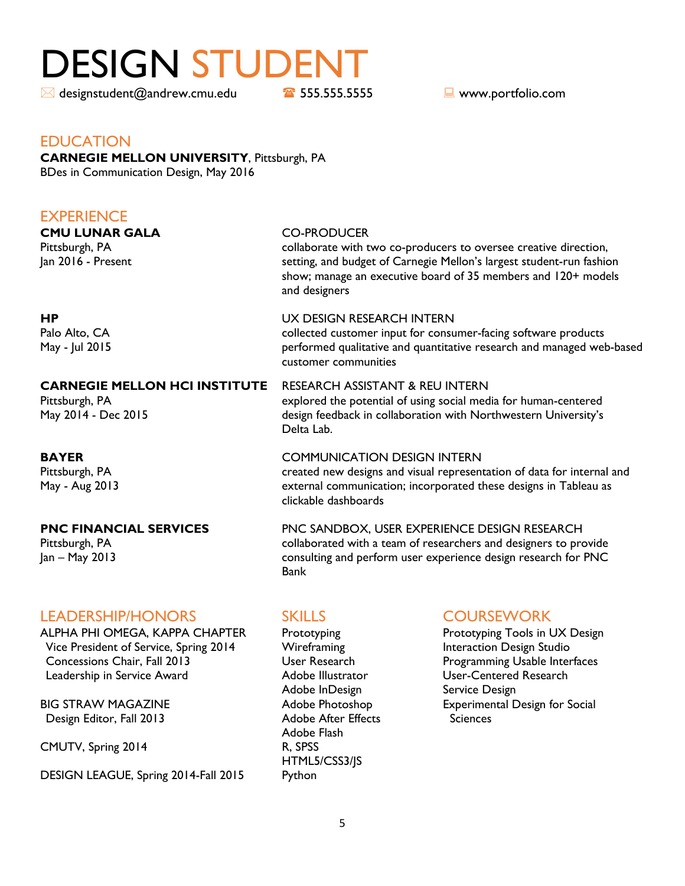# <span id="page-4-0"></span>DESIGN STUDENT

 $\boxtimes$  designstudent@andrew.cmu.edu **18** 555.555.55555555555  $\blacksquare$  www.portfolio.com

### EDUCATION

### **CARNEGIE MELLON UNIVERSITY**, Pittsburgh, PA BDes in Communication Design, May 2016

### **EXPERIENCE**

# **CMU LUNAR GALA** CO-PRODUCER<br>Pittsburgh, PA collaborate with t

collaborate with two co-producers to oversee creative direction, Jan 2016 - Present Same States Setting, and budget of Carnegie Mellon's largest student-run fashion show; manage an executive board of 35 members and 120+ models and designers

### **HP** UX DESIGN RESEARCH INTERN

Palo Alto, CA collected customer input for consumer-facing software products May - Jul 2015 performed qualitative and quantitative research and managed web-based customer communities

### **CARNEGIE MELLON HCI INSTITUTE** RESEARCH ASSISTANT & REU INTERN

Pittsburgh, PA **Explored** the potential of using social media for human-centered May 2014 - Dec 2015 design feedback in collaboration with Northwestern University's

### **BAYER COMMUNICATION DESIGN INTERN**

Pittsburgh, PA created new designs and visual representation of data for internal and May - Aug 2013 external communication; incorporated these designs in Tableau as clickable dashboards

### **PNC FINANCIAL SERVICES** PNC SANDBOX, USER EXPERIENCE DESIGN RESEARCH Pittsburgh, PA collaborated with a team of researchers and designers to provide Jan – May 2013 consulting and perform user experience design research for PNC Bank

### LEADERSHIP/HONORS SKILLS COURSEWORK

ALPHA PHI OMEGA, KAPPA CHAPTER Prototyping Prototyping Prototyping Tools in UX Design Vice President of Service, Spring 2014 Wireframing **Interaction Design Studio**  Concessions Chair, Fall 2013 User Research Programming Usable Interfaces Leadership in Service Award **Adobe Illustrator** Mustrator **Adobe Illustrator** User-Centered Research

Design Editor, Fall 2013 Adobe After Effects Sciences

CMUTV, Spring 2014 R, SPSS

DESIGN LEAGUE, Spring 2014-Fall 2015 Python

Delta Lab.

Adobe InDesign Service Design Adobe Flash HTML5/CSS3/JS

BIG STRAW MAGAZINE **Adobe Photoshop** Experimental Design for Social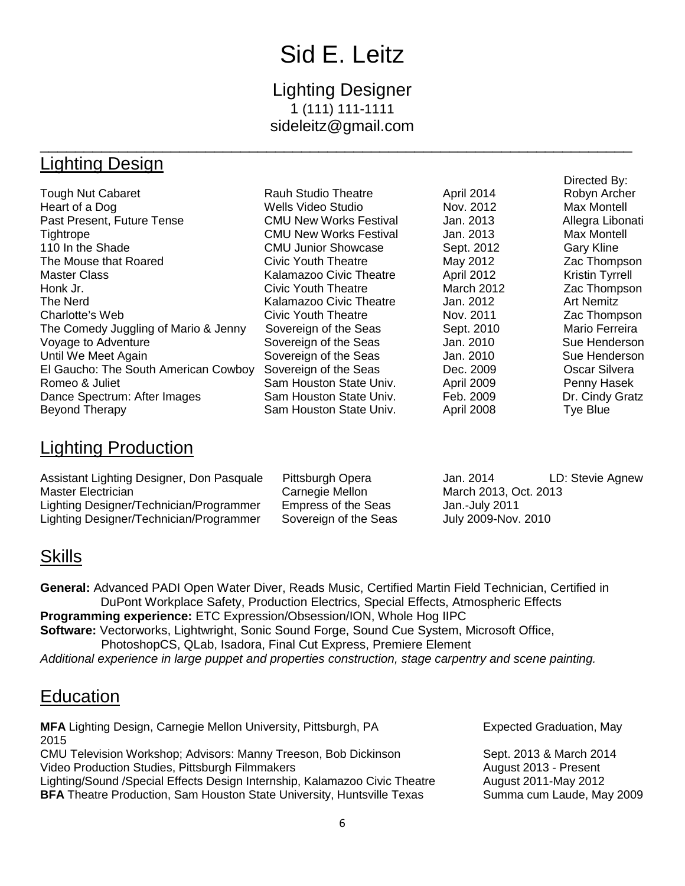# Sid E. Leitz

### Lighting Designer 1 (111) 111-1111 sideleitz@gmail.com

### <span id="page-5-0"></span>\_\_\_\_\_\_\_\_\_\_\_\_\_\_\_\_\_\_\_\_\_\_\_\_\_\_\_\_\_\_\_\_\_\_\_\_\_\_\_\_\_\_\_\_\_\_\_\_\_\_\_\_\_\_\_\_\_\_\_\_\_\_\_\_\_\_\_\_ Lighting Design

|                                      |                               |                   | Directed By:           |
|--------------------------------------|-------------------------------|-------------------|------------------------|
| <b>Tough Nut Cabaret</b>             | <b>Rauh Studio Theatre</b>    | April 2014        | Robyn Archer           |
| Heart of a Dog                       | Wells Video Studio            | Nov. 2012         | Max Montell            |
| Past Present, Future Tense           | <b>CMU New Works Festival</b> | Jan. 2013         | Allegra Libonati       |
| Tightrope                            | <b>CMU New Works Festival</b> | Jan. 2013         | Max Montell            |
| 110 In the Shade                     | <b>CMU Junior Showcase</b>    | Sept. 2012        | <b>Gary Kline</b>      |
| The Mouse that Roared                | Civic Youth Theatre           | May 2012          | Zac Thompson           |
| <b>Master Class</b>                  | Kalamazoo Civic Theatre       | <b>April 2012</b> | <b>Kristin Tyrrell</b> |
| Honk Jr.                             | Civic Youth Theatre           | <b>March 2012</b> | Zac Thompson           |
| The Nerd                             | Kalamazoo Civic Theatre       | Jan. 2012         | <b>Art Nemitz</b>      |
| Charlotte's Web                      | Civic Youth Theatre           | Nov. 2011         | Zac Thompson           |
| The Comedy Juggling of Mario & Jenny | Sovereign of the Seas         | Sept. 2010        | Mario Ferreira         |
| Voyage to Adventure                  | Sovereign of the Seas         | Jan. 2010         | Sue Henderson          |
| Until We Meet Again                  | Sovereign of the Seas         | Jan. 2010         | Sue Henderson          |
| El Gaucho: The South American Cowboy | Sovereign of the Seas         | Dec. 2009         | Oscar Silvera          |
| Romeo & Juliet                       | Sam Houston State Univ.       | April 2009        | Penny Hasek            |
| Dance Spectrum: After Images         | Sam Houston State Univ.       | Feb. 2009         | Dr. Cindy Gratz        |
| Beyond Therapy                       | Sam Houston State Univ.       | <b>April 2008</b> | Tye Blue               |

### Lighting Production

| Assistant Lighting Designer, Don Pasquale | Pittsburgh Opera      | Jan. 2014             | LD: Stevie Agnew |
|-------------------------------------------|-----------------------|-----------------------|------------------|
| Master Electrician                        | Carnegie Mellon       | March 2013, Oct. 2013 |                  |
| Lighting Designer/Technician/Programmer   | Empress of the Seas   | Jan.-July 2011        |                  |
| Lighting Designer/Technician/Programmer   | Sovereign of the Seas | July 2009-Nov. 2010   |                  |

### **Skills**

**General:** Advanced PADI Open Water Diver, Reads Music, Certified Martin Field Technician, Certified in DuPont Workplace Safety, Production Electrics, Special Effects, Atmospheric Effects **Programming experience:** ETC Expression/Obsession/ION, Whole Hog IIPC **Software:** Vectorworks, Lightwright, Sonic Sound Forge, Sound Cue System, Microsoft Office, PhotoshopCS, QLab, Isadora, Final Cut Express, Premiere Element *Additional experience in large puppet and properties construction, stage carpentry and scene painting.*

### **Education**

| MFA Lighting Design, Carnegie Mellon University, Pittsburgh, PA<br>2015       | <b>Expected Graduation, May</b> |
|-------------------------------------------------------------------------------|---------------------------------|
| CMU Television Workshop; Advisors: Manny Treeson, Bob Dickinson               | Sept. 2013 & March 2014         |
| Video Production Studies, Pittsburgh Filmmakers                               | August 2013 - Present           |
| Lighting/Sound /Special Effects Design Internship, Kalamazoo Civic Theatre    | August 2011-May 2012            |
| <b>BFA</b> Theatre Production, Sam Houston State University, Huntsville Texas | Summa cum Laude, May 2009       |